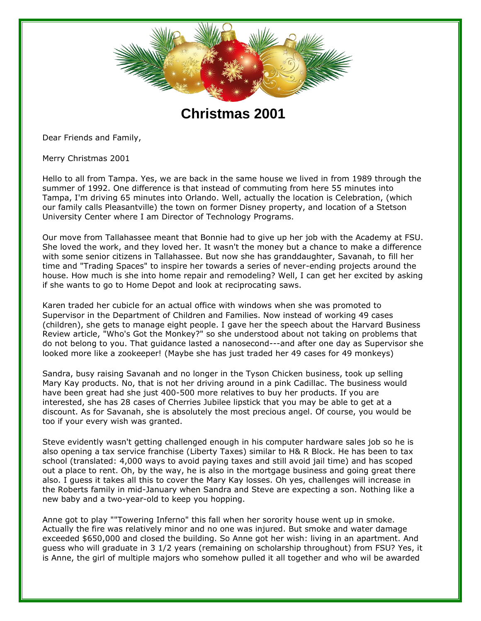

**Christmas 2001**

Dear Friends and Family,

Merry Christmas 2001

Hello to all from Tampa. Yes, we are back in the same house we lived in from 1989 through the summer of 1992. One difference is that instead of commuting from here 55 minutes into Tampa, I'm driving 65 minutes into Orlando. Well, actually the location is Celebration, (which our family calls Pleasantville) the town on former Disney property, and location of a Stetson University Center where I am Director of Technology Programs.

Our move from Tallahassee meant that Bonnie had to give up her job with the Academy at FSU. She loved the work, and they loved her. It wasn't the money but a chance to make a difference with some senior citizens in Tallahassee. But now she has granddaughter, Savanah, to fill her time and "Trading Spaces" to inspire her towards a series of never-ending projects around the house. How much is she into home repair and remodeling? Well, I can get her excited by asking if she wants to go to Home Depot and look at reciprocating saws.

Karen traded her cubicle for an actual office with windows when she was promoted to Supervisor in the Department of Children and Families. Now instead of working 49 cases (children), she gets to manage eight people. I gave her the speech about the Harvard Business Review article, "Who's Got the Monkey?" so she understood about not taking on problems that do not belong to you. That guidance lasted a nanosecond---and after one day as Supervisor she looked more like a zookeeper! (Maybe she has just traded her 49 cases for 49 monkeys)

Sandra, busy raising Savanah and no longer in the Tyson Chicken business, took up selling Mary Kay products. No, that is not her driving around in a pink Cadillac. The business would have been great had she just 400-500 more relatives to buy her products. If you are interested, she has 28 cases of Cherries Jubilee lipstick that you may be able to get at a discount. As for Savanah, she is absolutely the most precious angel. Of course, you would be too if your every wish was granted.

Steve evidently wasn't getting challenged enough in his computer hardware sales job so he is also opening a tax service franchise (Liberty Taxes) similar to H& R Block. He has been to tax school (translated: 4,000 ways to avoid paying taxes and still avoid jail time) and has scoped out a place to rent. Oh, by the way, he is also in the mortgage business and going great there also. I guess it takes all this to cover the Mary Kay losses. Oh yes, challenges will increase in the Roberts family in mid-January when Sandra and Steve are expecting a son. Nothing like a new baby and a two-year-old to keep you hopping.

Anne got to play ""Towering Inferno" this fall when her sorority house went up in smoke. Actually the fire was relatively minor and no one was injured. But smoke and water damage exceeded \$650,000 and closed the building. So Anne got her wish: living in an apartment. And guess who will graduate in 3 1/2 years (remaining on scholarship throughout) from FSU? Yes, it is Anne, the girl of multiple majors who somehow pulled it all together and who wil be awarded